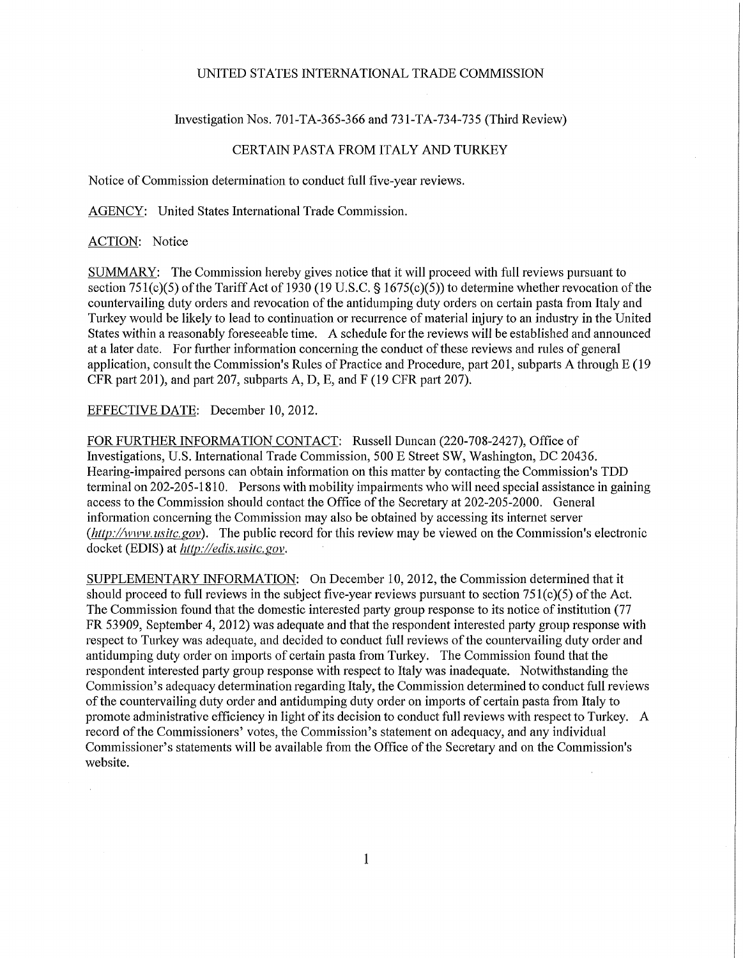#### UNITED STATES INTERNATIONAL TRADE COMMISSION

### Investigation Nos. 701-TA-365-366 and 731-TA-734-735 (Third Review)

# CERTAIN PASTA FROM ITALY AND TURKEY

Notice of Commission determination to conduct full five-year reviews.

AGENCY: United States International Trade Commission.

## ACTION: Notice

SUMMARY: The Commission hereby gives notice that it will proceed with full reviews pursuant to section 751(c)(5) of the Tariff Act of 1930 (19 U.S.C. § 1675(c)(5)) to determine whether revocation of the countervailing duty orders and revocation of the antidumping duty orders on certain pasta from Italy and Turkey would be likely to lead to continuation or recurrence of material injury to an industry in the United States within a reasonably foreseeable time. A schedule for the reviews will be established and announced at a later date. For further information concerning the conduct of these reviews and rules of general application, consult the Commission's Rules of Practice and Procedure, part 201, subparts A through E (19 CFR part 201), and part 207, subparts A, D, E, and F (19 CFR part 207).

### EFFECTIVE DATE: December 10, 2012.

FOR FURTHER INFORMATION CONTACT: Russell Duncan (220-708-2427), Office of Investigations, U.S. International Trade Commission, 500 E Street SW, Washington, DC 20436. Hearing-impaired persons can obtain information on this matter by contacting the Commission's TDD terminal on 202-205-1810. Persons with mobility impairments who will need special assistance in gaining access to the Commission should contact the Office of the Secretary at 202-205-2000. General information concerning the Commission may also be obtained by accessing its internet server *{http://www, usitc.gov).* The public record for this review may be viewed on the Commission's electronic docket (EDIS) at *http .//edis. usitc. gov.* 

SUPPLEMENTARY INFORMATION: On December 10, 2012, the Commission determined that it should proceed to full reviews in the subject five-year reviews pursuant to section 751(c)(5) of the Act. The Commission found that the domestic interested party group response to its notice of institution (77 FR 53909, September 4, 2012) was adequate and that the respondent interested party group response with respect to Turkey was adequate, and decided to conduct full reviews of the countervailing duty order and antidumping duty order on imports of certain pasta from Turkey. The Commission found that the respondent interested party group response with respect to Italy was inadequate. Notwithstanding the Commission's adequacy determination regarding Italy, the Commission determined to conduct full reviews of the countervailing duty order and antidumping duty order on imports of certain pasta from Italy to promote administrative efficiency in light of its decision to conduct full reviews with respect to Turkey. A record of the Commissioners' votes, the Commission's statement on adequacy, and any individual Commissioner's statements will be available from the Office of the Secretary and on the Commission's website.